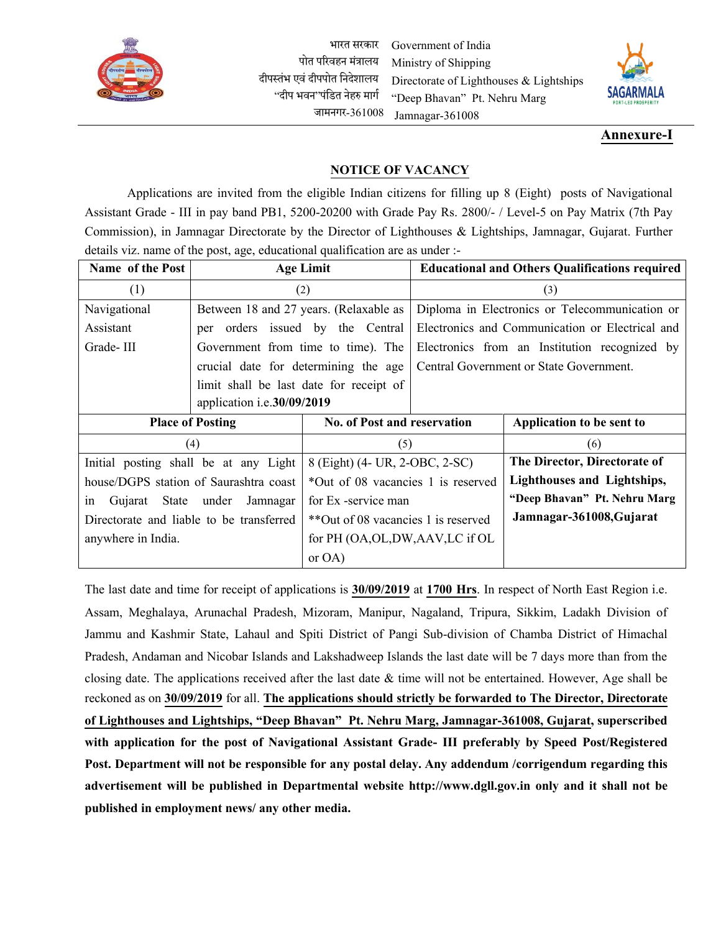

भारत सरकार पोत परिवहन मंत्रालय दीपस्तंभ एवं दीपपोत निदेशालय "दीप भवन"पंनित नेहरु मार्ग जामनर्र-361008 Government of India Ministry of Shipping Directorate of Lighthouses & Lightships "Deep Bhavan" Pt. Nehru Marg Jamnagar-361008



## **Annexure-I**

## **NOTICE OF VACANCY**

Applications are invited from the eligible Indian citizens for filling up 8 (Eight) posts of Navigational Assistant Grade - III in pay band PB1, 5200-20200 with Grade Pay Rs. 2800/- / Level-5 on Pay Matrix (7th Pay Commission), in Jamnagar Directorate by the Director of Lighthouses & Lightships, Jamnagar, Gujarat. Further details viz. name of the post, age, educational qualification are as under :-

| Name of the Post           |                                          | <b>Age Limit</b>                     | <b>Educational and Others Qualifications required</b> |                                                 |  |
|----------------------------|------------------------------------------|--------------------------------------|-------------------------------------------------------|-------------------------------------------------|--|
| (1)                        |                                          | (2)                                  | (3)                                                   |                                                 |  |
| Navigational               | Between 18 and 27 years. (Relaxable as   |                                      | Diploma in Electronics or Telecommunication or        |                                                 |  |
| Assistant                  | per orders issued by the Central         |                                      |                                                       | Electronics and Communication or Electrical and |  |
| Grade-III                  |                                          | Government from time to time). The   |                                                       | Electronics from an Institution recognized by   |  |
|                            |                                          | crucial date for determining the age |                                                       | Central Government or State Government.         |  |
|                            | limit shall be last date for receipt of  |                                      |                                                       |                                                 |  |
| application i.e.30/09/2019 |                                          |                                      |                                                       |                                                 |  |
|                            | <b>Place of Posting</b>                  | No. of Post and reservation          |                                                       | Application to be sent to                       |  |
|                            | (4)                                      | (5)                                  |                                                       | (6)                                             |  |
|                            | Initial posting shall be at any Light    | 8 (Eight) (4- UR, 2-OBC, 2-SC)       |                                                       | The Director, Directorate of                    |  |
|                            | house/DGPS station of Saurashtra coast   | *Out of 08 vacancies 1 is reserved   |                                                       | Lighthouses and Lightships,                     |  |
| State<br>Gujarat<br>1n     | under<br>Jamnagar                        | for Ex -service man                  |                                                       | "Deep Bhavan" Pt. Nehru Marg                    |  |
|                            | Directorate and liable to be transferred | **Out of 08 vacancies 1 is reserved  |                                                       | Jamnagar-361008, Gujarat                        |  |
| anywhere in India.         |                                          | for PH (OA, OL, DW, AAV, LC if OL    |                                                       |                                                 |  |
|                            |                                          | or $OA$ )                            |                                                       |                                                 |  |

The last date and time for receipt of applications is **30/09/2019** at **1700 Hrs**. In respect of North East Region i.e. Assam, Meghalaya, Arunachal Pradesh, Mizoram, Manipur, Nagaland, Tripura, Sikkim, Ladakh Division of Jammu and Kashmir State, Lahaul and Spiti District of Pangi Sub-division of Chamba District of Himachal Pradesh, Andaman and Nicobar Islands and Lakshadweep Islands the last date will be 7 days more than from the closing date. The applications received after the last date  $\&$  time will not be entertained. However, Age shall be reckoned as on **30/09/2019** for all. **The applications should strictly be forwarded to The Director, Directorate of Lighthouses and Lightships, "Deep Bhavan" Pt. Nehru Marg, Jamnagar-361008, Gujarat, superscribed with application for the post of Navigational Assistant Grade- III preferably by Speed Post/Registered Post. Department will not be responsible for any postal delay. Any addendum /corrigendum regarding this advertisement will be published in Departmental website [http://www.dgll.gov.in](http://www.dgll.gov.in/) only and it shall not be published in employment news/ any other media.**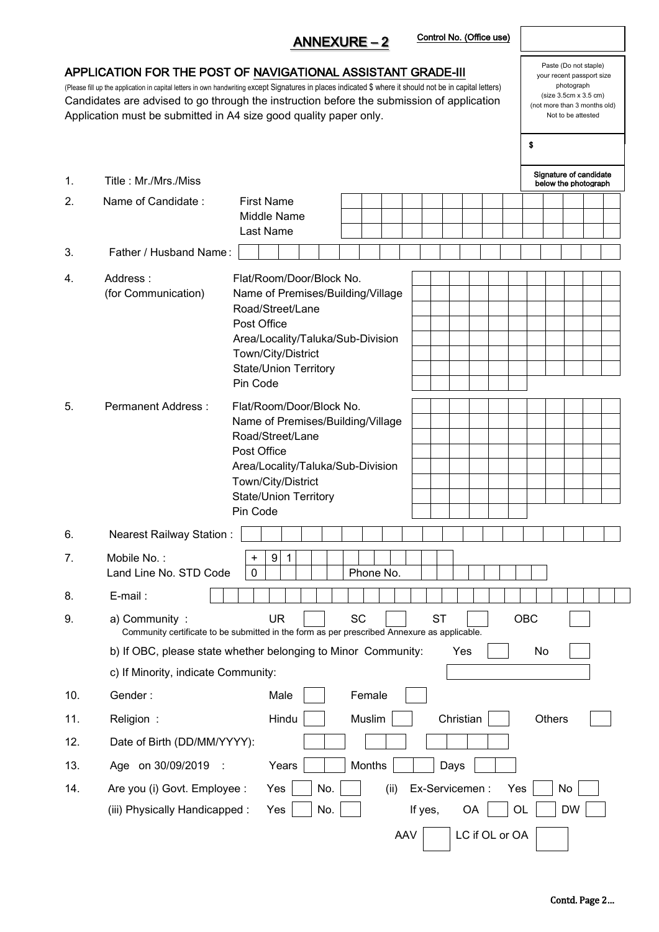| APPLICATION FOR THE POST OF NAVIGATIONAL ASSISTANT GRADE-III<br>(Please fill up the application in capital letters in own handwriting except Signatures in places indicated \$ where it should not be in capital letters)<br>Candidates are advised to go through the instruction before the submission of application<br>Application must be submitted in A4 size good quality paper only. | Paste (Do not staple)<br>your recent passport size<br>photograph<br>(size 3.5cm x 3.5 cm)<br>(not more than 3 months old)<br>Not to be attested |                                                                                                                                                                                                         |                                                |  |  |  |  |
|---------------------------------------------------------------------------------------------------------------------------------------------------------------------------------------------------------------------------------------------------------------------------------------------------------------------------------------------------------------------------------------------|-------------------------------------------------------------------------------------------------------------------------------------------------|---------------------------------------------------------------------------------------------------------------------------------------------------------------------------------------------------------|------------------------------------------------|--|--|--|--|
|                                                                                                                                                                                                                                                                                                                                                                                             |                                                                                                                                                 |                                                                                                                                                                                                         | \$                                             |  |  |  |  |
| 1.                                                                                                                                                                                                                                                                                                                                                                                          | Title: Mr./Mrs./Miss                                                                                                                            |                                                                                                                                                                                                         | Signature of candidate<br>below the photograph |  |  |  |  |
| 2.                                                                                                                                                                                                                                                                                                                                                                                          | Name of Candidate:                                                                                                                              | <b>First Name</b><br>Middle Name<br>Last Name                                                                                                                                                           |                                                |  |  |  |  |
| 3.                                                                                                                                                                                                                                                                                                                                                                                          | Father / Husband Name:                                                                                                                          |                                                                                                                                                                                                         |                                                |  |  |  |  |
| 4.                                                                                                                                                                                                                                                                                                                                                                                          | Address:<br>(for Communication)                                                                                                                 | Flat/Room/Door/Block No.<br>Name of Premises/Building/Village<br>Road/Street/Lane<br>Post Office<br>Area/Locality/Taluka/Sub-Division<br>Town/City/District<br><b>State/Union Territory</b><br>Pin Code |                                                |  |  |  |  |
| 5.                                                                                                                                                                                                                                                                                                                                                                                          | Permanent Address:                                                                                                                              | Flat/Room/Door/Block No.<br>Name of Premises/Building/Village<br>Road/Street/Lane<br>Post Office<br>Area/Locality/Taluka/Sub-Division<br>Town/City/District<br><b>State/Union Territory</b><br>Pin Code |                                                |  |  |  |  |
| 6.                                                                                                                                                                                                                                                                                                                                                                                          | <b>Nearest Railway Station:</b>                                                                                                                 |                                                                                                                                                                                                         |                                                |  |  |  |  |
| 7.                                                                                                                                                                                                                                                                                                                                                                                          | Mobile No.:<br>9<br>1<br>+<br>Land Line No. STD Code<br>0<br>Phone No.                                                                          |                                                                                                                                                                                                         |                                                |  |  |  |  |
| 8.                                                                                                                                                                                                                                                                                                                                                                                          | E-mail:                                                                                                                                         |                                                                                                                                                                                                         |                                                |  |  |  |  |
| 9.                                                                                                                                                                                                                                                                                                                                                                                          | OBC<br>SC<br><b>ST</b><br>UR<br>a) Community:<br>Community certificate to be submitted in the form as per prescribed Annexure as applicable.    |                                                                                                                                                                                                         |                                                |  |  |  |  |
|                                                                                                                                                                                                                                                                                                                                                                                             | b) If OBC, please state whether belonging to Minor Community:<br>No<br>Yes                                                                      |                                                                                                                                                                                                         |                                                |  |  |  |  |
|                                                                                                                                                                                                                                                                                                                                                                                             | c) If Minority, indicate Community:                                                                                                             |                                                                                                                                                                                                         |                                                |  |  |  |  |
| 10.                                                                                                                                                                                                                                                                                                                                                                                         | Gender:                                                                                                                                         | Male<br>Female                                                                                                                                                                                          |                                                |  |  |  |  |
| 11.                                                                                                                                                                                                                                                                                                                                                                                         | Religion:                                                                                                                                       | Hindu<br>Muslim<br>Christian                                                                                                                                                                            | Others                                         |  |  |  |  |
| 12.                                                                                                                                                                                                                                                                                                                                                                                         | Date of Birth (DD/MM/YYYY):                                                                                                                     |                                                                                                                                                                                                         |                                                |  |  |  |  |
| 13.                                                                                                                                                                                                                                                                                                                                                                                         | Age on 30/09/2019<br>Months<br>Years<br>Days                                                                                                    |                                                                                                                                                                                                         |                                                |  |  |  |  |
| 14.                                                                                                                                                                                                                                                                                                                                                                                         | Are you (i) Govt. Employee :<br>(iii) Physically Handicapped:                                                                                   | Ex-Servicemen:<br>Yes<br>No.<br>(ii)<br>No.<br>If yes,<br>OA<br>Yes<br>LC if OL or OA<br><b>AAV</b>                                                                                                     | Yes<br>No<br>OL<br><b>DW</b>                   |  |  |  |  |

ANNEXURE – 2

Control No. (Office use)